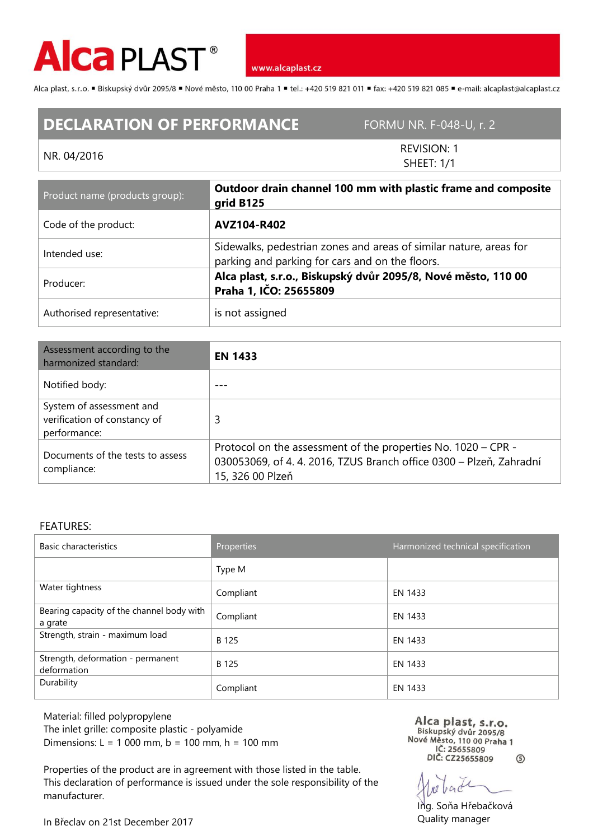

www.alcaplast.cz

Alca plast, s.r.o. "Biskupský dvůr 2095/8 "Nové město, 110 00 Praha 1 "tel.: +420 519 821 011 "fax: +420 519 821 085 " e-mail: alcaplast@alcaplast.cz

## **DECLARATION OF PERFORMANCE** FORMU NR. F-048-U, r. 2

## NR. 04/2016

REVISION: 1 SHEET: 1/1

| Product name (products group): | Outdoor drain channel 100 mm with plastic frame and composite<br>grid B125                                            |  |
|--------------------------------|-----------------------------------------------------------------------------------------------------------------------|--|
| Code of the product:           | AVZ104-R402                                                                                                           |  |
| Intended use:                  | Sidewalks, pedestrian zones and areas of similar nature, areas for<br>parking and parking for cars and on the floors. |  |
| Producer:                      | Alca plast, s.r.o., Biskupský dvůr 2095/8, Nové město, 110 00<br>Praha 1, IČO: 25655809                               |  |
| Authorised representative:     | is not assigned                                                                                                       |  |

| Assessment according to the<br>harmonized standard:                      | <b>EN 1433</b>                                                                                                                                         |  |
|--------------------------------------------------------------------------|--------------------------------------------------------------------------------------------------------------------------------------------------------|--|
| Notified body:                                                           |                                                                                                                                                        |  |
| System of assessment and<br>verification of constancy of<br>performance: | 3                                                                                                                                                      |  |
| Documents of the tests to assess<br>compliance:                          | Protocol on the assessment of the properties No. 1020 – CPR -<br>030053069, of 4.4.2016, TZUS Branch office 0300 - Plzeň, Zahradní<br>15, 326 00 Plzeň |  |

## FEATURES:

| <b>Basic characteristics</b>                         | <b>Properties</b> | Harmonized technical specification |
|------------------------------------------------------|-------------------|------------------------------------|
|                                                      | Type M            |                                    |
| Water tightness                                      | Compliant         | EN 1433                            |
| Bearing capacity of the channel body with<br>a grate | Compliant         | EN 1433                            |
| Strength, strain - maximum load                      | B 125             | EN 1433                            |
| Strength, deformation - permanent<br>deformation     | B 125             | EN 1433                            |
| Durability                                           | Compliant         | EN 1433                            |

Material: filled polypropylene The inlet grille: composite plastic - polyamide Dimensions: L = 1 000 mm, b = 100 mm, h = 100 mm

Properties of the product are in agreement with those listed in the table. This declaration of performance is issued under the sole responsibility of the manufacturer.

Alca plast, s.r.o.<br>Biskupský dvůr 2095/8<br>OVÁ Měste, 110.00 Praha Nové Město, 110 00 Praha 1 IČ: 25655809 DIČ: CZ25655809  $\circledS$ 

Ing. Soňa Hřebačková Quality manager

In Břeclav on 21st December 2017